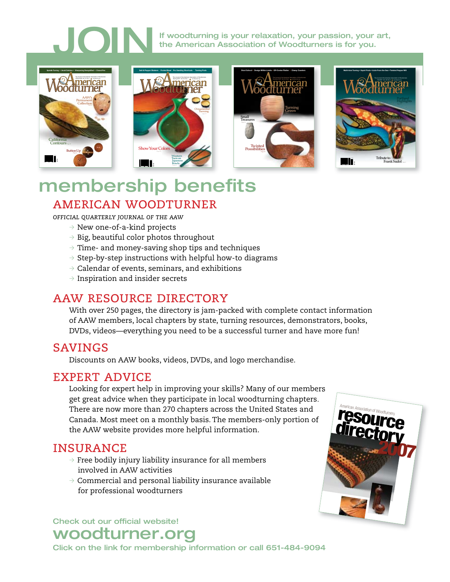If woodturning is your relaxation, your passion, your art,<br>the American Association of Woodturners is for you. the American Association of Woodturners is for you.



# american woodturner membership benefits

*offi cial quarterly journal of the aaw*

- $\rightarrow$  New one-of-a-kind projects
- $\rightarrow$  Big, beautiful color photos throughout
- $\rightarrow$  Time- and money-saving shop tips and techniques
- $\rightarrow$  Step-by-step instructions with helpful how-to diagrams
- $\beta$  Calendar of events, seminars, and exhibitions
- $\rightarrow$  Inspiration and insider secrets

## aaw resource directory

With over 250 pages, the directory is jam-packed with complete contact information of AAW members, local chapters by state, turning resources, demonstrators, books, DVDs, videos—everything you need to be a successful turner and have more fun!

## **SAVINGS**

Discounts on AAW books, videos, DVDs, and logo merchandise.

## expert advice

Looking for expert help in improving your skills? Many of our members get great advice when they participate in local woodturning chapters. There are now more than 270 chapters across the United States and Canada. Most meet on a monthly basis. The members-only portion of the AAW website provides more helpful information.

## **INSURANCE**

- $\rightarrow$  Free bodily injury liability insurance for all members involved in AAW activities
- $\rightarrow$  Commercial and personal liability insurance available for professional woodturners

Check out our official website!



# woodturner.org

Click on the link for membership information or call 651-484-9094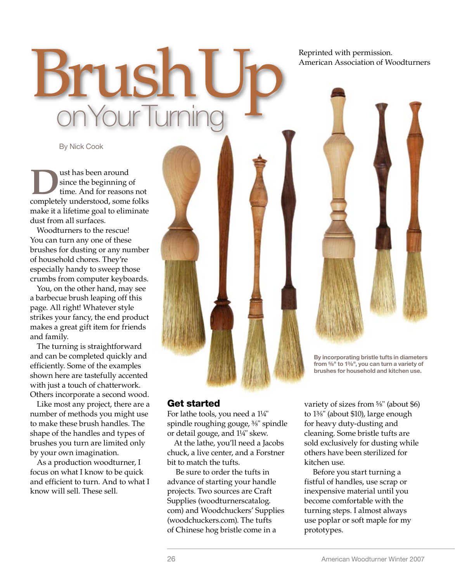Brush<sup>:</sup> on Your Turnir

By Nick Cook

Ust has been around<br>since the beginning of<br>completely understood some since the beginning of time. And for reasons not completely understood, some folks make it a lifetime goal to eliminate dust from all surfaces.

Woodturners to the rescue! You can turn any one of these brushes for dusting or any number of household chores. They're especially handy to sweep those crumbs from computer keyboards.

You, on the other hand, may see a barbecue brush leaping off this page. All right! Whatever style strikes your fancy, the end product makes a great gift item for friends and family.

The turning is straightforward and can be completed quickly and efficiently. Some of the examples shown here are tastefully accented with just a touch of chatterwork. Others incorporate a second wood.

Like most any project, there are a number of methods you might use to make these brush handles. The shape of the handles and types of brushes you turn are limited only by your own imagination.

As a production woodturner, I focus on what I know to be quick and efficient to turn. And to what I know will sell. These sell.

Reprinted with permission. American Association of Woodturners



By incorporating bristle tufts in diameters from  $\frac{5}{8}$ " to 1%", you can turn a variety of brushes for household and kitchen use.

#### Get started

For lathe tools, you need a 1¼" spindle roughing gouge, <sup>3</sup> /8" spindle or detail gouge, and 1¼" skew.

At the lathe, you'll need a Jacobs chuck, a live center, and a Forstner bit to match the tufts.

 Be sure to order the tufts in advance of starting your handle projects. Two sources are Craft Supplies (woodturnerscatalog. com) and Woodchuckers' Supplies (woodchuckers.com). The tufts of Chinese hog bristle come in a

variety of sizes from <sup>5</sup> /8" (about \$6) to 1<sup>3</sup> /8" (about \$10), large enough for heavy duty-dusting and cleaning. Some bristle tufts are sold exclusively for dusting while others have been sterilized for kitchen use.

 Before you start turning a fistful of handles, use scrap or inexpensive material until you become comfortable with the turning steps. I almost always use poplar or soft maple for my prototypes.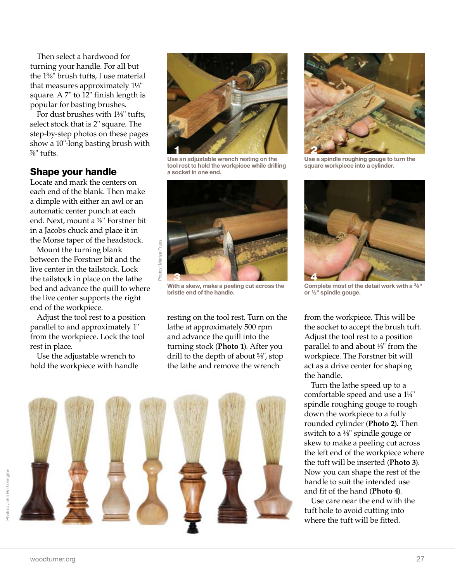Then select a hardwood for turning your handle. For all but the 1<sup>3</sup> /8" brush tufts, I use material that measures approximately 1¼" square. A 7" to 12" finish length is popular for basting brushes.

For dust brushes with 1<sup>3</sup> /8" tufts, select stock that is 2" square. The step-by-step photos on these pages show a 10"-long basting brush with 7 /8" tufts.

### Shape your handle

Locate and mark the centers on each end of the blank. Then make a dimple with either an awl or an automatic center punch at each end. Next, mount a %" Forstner bit in a Jacobs chuck and place it in the Morse taper of the headstock.

Mount the turning blank between the Forstner bit and the live center in the tailstock. Lock the tailstock in place on the lathe bed and advance the quill to where the live center supports the right end of the workpiece.

Adjust the tool rest to a position parallel to and approximately 1" from the workpiece. Lock the tool rest in place.

Use the adjustable wrench to hold the workpiece with handle



Use an adjustable wrench resting on the tool rest to hold the workpiece while drilling a socket in one end.



With a skew, make a peeling cut across the bristle end of the handle.

resting on the tool rest. Turn on the lathe at approximately 500 rpm and advance the quill into the turning stock (**Photo 1**). After you drill to the depth of about <sup>5</sup> /8", stop the lathe and remove the wrench





Use a spindle roughing gouge to turn the square workpiece into a cylinder.



Complete most of the detail work with a <sup>3</sup>/8" or 1 /2" spindle gouge.

from the workpiece. This will be the socket to accept the brush tuft. Adjust the tool rest to a position parallel to and about  $\frac{1}{8}$ " from the workpiece. The Forstner bit will act as a drive center for shaping the handle.

Turn the lathe speed up to a comfortable speed and use a 1¼" spindle roughing gouge to rough down the workpiece to a fully rounded cylinder (**Photo 2**). Then switch to a <sup>3</sup> /8" spindle gouge or skew to make a peeling cut across the left end of the workpiece where the tuft will be inserted (**Photo 3**). Now you can shape the rest of the handle to suit the intended use and fit of the hand (**Photo 4**).

Use care near the end with the tuft hole to avoid cutting into where the tuft will be fitted.